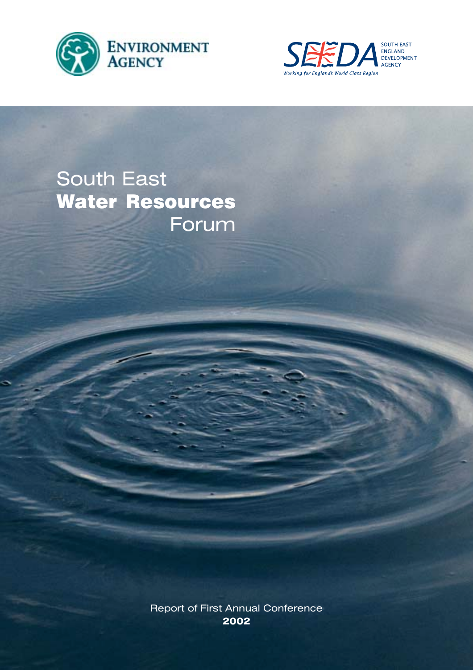



# South East Water Resources Forum

Report of First Annual Conference **2002**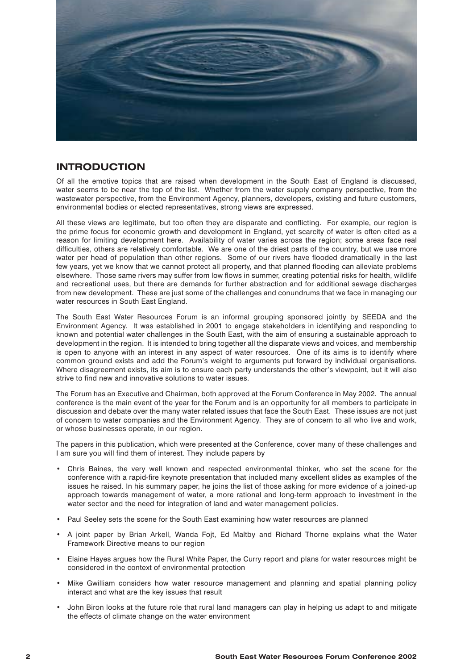

# **INTRODUCTION**

Of all the emotive topics that are raised when development in the South East of England is discussed, water seems to be near the top of the list. Whether from the water supply company perspective, from the wastewater perspective, from the Environment Agency, planners, developers, existing and future customers, environmental bodies or elected representatives, strong views are expressed.

All these views are legitimate, but too often they are disparate and conflicting. For example, our region is the prime focus for economic growth and development in England, yet scarcity of water is often cited as a reason for limiting development here. Availability of water varies across the region; some areas face real difficulties, others are relatively comfortable. We are one of the driest parts of the country, but we use more water per head of population than other regions. Some of our rivers have flooded dramatically in the last few years, yet we know that we cannot protect all property, and that planned flooding can alleviate problems elsewhere. Those same rivers may suffer from low flows in summer, creating potential risks for health, wildlife and recreational uses, but there are demands for further abstraction and for additional sewage discharges from new development. These are just some of the challenges and conundrums that we face in managing our water resources in South East England.

The South East Water Resources Forum is an informal grouping sponsored jointly by SEEDA and the Environment Agency. It was established in 2001 to engage stakeholders in identifying and responding to known and potential water challenges in the South East, with the aim of ensuring a sustainable approach to development in the region. It is intended to bring together all the disparate views and voices, and membership is open to anyone with an interest in any aspect of water resources. One of its aims is to identify where common ground exists and add the Forum's weight to arguments put forward by individual organisations. Where disagreement exists, its aim is to ensure each party understands the other's viewpoint, but it will also strive to find new and innovative solutions to water issues.

The Forum has an Executive and Chairman, both approved at the Forum Conference in May 2002. The annual conference is the main event of the year for the Forum and is an opportunity for all members to participate in discussion and debate over the many water related issues that face the South East. These issues are not just of concern to water companies and the Environment Agency. They are of concern to all who live and work, or whose businesses operate, in our region.

The papers in this publication, which were presented at the Conference, cover many of these challenges and I am sure you will find them of interest. They include papers by

- Chris Baines, the very well known and respected environmental thinker, who set the scene for the conference with a rapid-fire keynote presentation that included many excellent slides as examples of the issues he raised. In his summary paper, he joins the list of those asking for more evidence of a joined-up approach towards management of water, a more rational and long-term approach to investment in the water sector and the need for integration of land and water management policies.
- Paul Seeley sets the scene for the South East examining how water resources are planned
- A joint paper by Brian Arkell, Wanda Fojt, Ed Maltby and Richard Thorne explains what the Water Framework Directive means to our region
- Elaine Hayes argues how the Rural White Paper, the Curry report and plans for water resources might be considered in the context of environmental protection
- Mike Gwilliam considers how water resource management and planning and spatial planning policy interact and what are the key issues that result
- John Biron looks at the future role that rural land managers can play in helping us adapt to and mitigate the effects of climate change on the water environment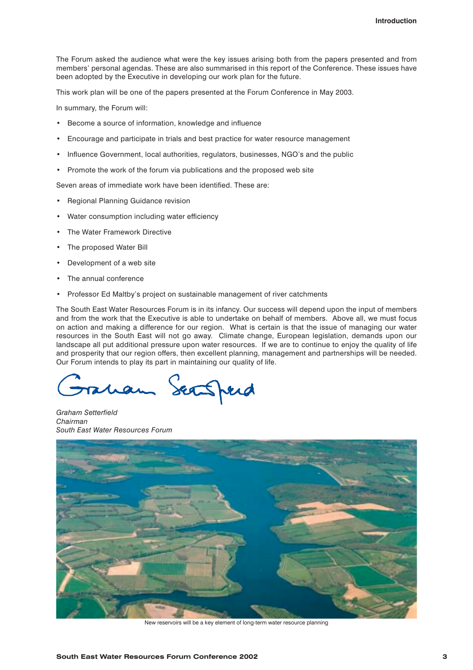The Forum asked the audience what were the key issues arising both from the papers presented and from members' personal agendas. These are also summarised in this report of the Conference. These issues have been adopted by the Executive in developing our work plan for the future.

This work plan will be one of the papers presented at the Forum Conference in May 2003.

In summary, the Forum will:

- Become a source of information, knowledge and influence
- Encourage and participate in trials and best practice for water resource management
- Influence Government, local authorities, regulators, businesses, NGO's and the public
- Promote the work of the forum via publications and the proposed web site

Seven areas of immediate work have been identified. These are:

- Regional Planning Guidance revision
- Water consumption including water efficiency
- The Water Framework Directive
- The proposed Water Bill
- Development of a web site
- The annual conference
- Professor Ed Maltby's project on sustainable management of river catchments

The South East Water Resources Forum is in its infancy. Our success will depend upon the input of members and from the work that the Executive is able to undertake on behalf of members. Above all, we must focus on action and making a difference for our region. What is certain is that the issue of managing our water resources in the South East will not go away. Climate change, European legislation, demands upon our landscape all put additional pressure upon water resources. If we are to continue to enjoy the quality of life and prosperity that our region offers, then excellent planning, management and partnerships will be needed. Our Forum intends to play its part in maintaining our quality of life.

Seafferd

*Graham Setterfield Chairman South East Water Resources Forum*



New reservoirs will be a key element of long-term water resource planning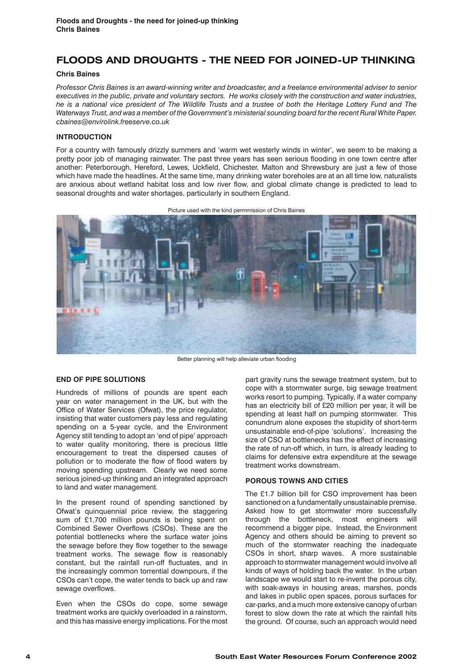# **FLOODS AND DROUGHTS - THE NEED FOR JOINED-UP THINKING**

# **Chris Baines**

*Professor Chris Baines is an award-winning writer and broadcaster, and a freelance environmental adviser to senior executives in the public, private and voluntary sectors. He works closely with the construction and water industries, he is a national vice president of The Wildlife Trusts and a trustee of both the Heritage Lottery Fund and The Waterways Trust, and was a member of the Government's ministerial sounding board for the recent Rural White Paper. cbaines@envirolink.freeserve.co.uk* 

# **INTRODUCTION**

For a country with famously drizzly summers and 'warm wet westerly winds in winter', we seem to be making a pretty poor job of managing rainwater. The past three years has seen serious flooding in one town centre after another: Peterborough, Hereford, Lewes, Uckfield, Chichester, Malton and Shrewsbury are just a few of those which have made the headlines. At the same time, many drinking water boreholes are at an all time low, naturalists are anxious about wetland habitat loss and low river flow, and global climate change is predicted to lead to seasonal droughts and water shortages, particularly in southern England.

Picture used with the kind permmission of Chris Baines



Better planning will help alleviate urban flooding

# **END OF PIPE SOLUTIONS**

Hundreds of millions of pounds are spent each year on water management in the UK, but with the Office of Water Services (Ofwat), the price regulator, insisting that water customers pay less and regulating spending on a 5-year cycle, and the Environment Agency still tending to adopt an 'end of pipe' approach to water quality monitoring, there is precious little encouragement to treat the dispersed causes of pollution or to moderate the flow of flood waters by moving spending upstream. Clearly we need some serious joined-up thinking and an integrated approach to land and water management.

In the present round of spending sanctioned by Ofwat's quinquennial price review, the staggering sum of £1,700 million pounds is being spent on Combined Sewer Overflows (CSOs). These are the potential bottlenecks where the surface water joins the sewage before they flow together to the sewage treatment works. The sewage flow is reasonably constant, but the rainfall run-off fluctuates, and in the increasingly common torrential downpours, if the CSOs can't cope, the water tends to back up and raw sewage overflows.

Even when the CSOs do cope, some sewage treatment works are quickly overloaded in a rainstorm, and this has massive energy implications. For the most

part gravity runs the sewage treatment system, but to cope with a stormwater surge, big sewage treatment works resort to pumping. Typically, if a water company has an electricity bill of £20 million per year, it will be spending at least half on pumping stormwater. This conundrum alone exposes the stupidity of short-term unsustainable end-of-pipe 'solutions'. Increasing the size of CSO at bottlenecks has the effect of increasing the rate of run-off which, in turn, is already leading to claims for defensive extra expenditure at the sewage treatment works downstream.

#### **POROUS TOWNS AND CITIES**

The £1.7 billion bill for CSO improvement has been sanctioned on a fundamentally unsustainable premise. Asked how to get stormwater more successfully through the bottleneck, most engineers will recommend a bigger pipe. Instead, the Environment Agency and others should be aiming to prevent so much of the stormwater reaching the inadequate CSOs in short, sharp waves. A more sustainable approach to stormwater management would involve all kinds of ways of holding back the water. In the urban landscape we would start to re-invent the porous city, with soak-aways in housing areas, marshes, ponds and lakes in public open spaces, porous surfaces for car-parks, and a much more extensive canopy of urban forest to slow down the rate at which the rainfall hits the ground. Of course, such an approach would need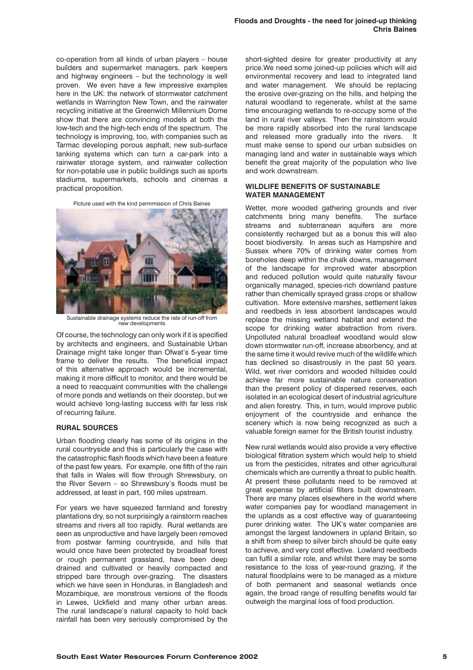co-operation from all kinds of urban players – house builders and supermarket managers, park keepers and highway engineers – but the technology is well proven. We even have a few impressive examples here in the UK: the network of stormwater catchment wetlands in Warrington New Town, and the rainwater recycling initiative at the Greenwich Millennium Dome show that there are convincing models at both the low-tech and the high-tech ends of the spectrum. The technology is improving, too, with companies such as Tarmac developing porous asphalt, new sub-surface tanking systems which can turn a car-park into a rainwater storage system, and rainwater collection for non-potable use in public buildings such as sports stadiums, supermarkets, schools and cinemas a practical proposition.

Picture used with the kind permmission of Chris Baines



Sustainable drainage systems reduce the rate of run-off from new developments

Of course, the technology can only work if it is specified by architects and engineers, and Sustainable Urban Drainage might take longer than Ofwat's 5-year time frame to deliver the results. The beneficial impact of this alternative approach would be incremental, making it more difficult to monitor, and there would be a need to reacquaint communities with the challenge of more ponds and wetlands on their doorstep, but we would achieve long-lasting success with far less risk of recurring failure.

#### **RURAL SOURCES**

Urban flooding clearly has some of its origins in the rural countryside and this is particularly the case with the catastrophic flash floods which have been a feature of the past few years. For example, one fifth of the rain that falls in Wales will flow through Shrewsbury, on the River Severn – so Shrewsbury's floods must be addressed, at least in part, 100 miles upstream.

For years we have squeezed farmland and forestry plantations dry, so not surprisingly a rainstorm reaches streams and rivers all too rapidly. Rural wetlands are seen as unproductive and have largely been removed from postwar farming countryside, and hills that would once have been protected by broadleaf forest or rough permanent grassland, have been deep drained and cultivated or heavily compacted and stripped bare through over-grazing. The disasters which we have seen in Honduras, in Bangladesh and Mozambique, are monstrous versions of the floods in Lewes, Uckfield and many other urban areas. The rural landscape's natural capacity to hold back rainfall has been very seriously compromised by the

short-sighted desire for greater productivity at any price.We need some joined-up policies which will aid environmental recovery and lead to integrated land and water management. We should be replacing the erosive over-grazing on the hills, and helping the natural woodland to regenerate, whilst at the same time encouraging wetlands to re-occupy some of the land in rural river valleys. Then the rainstorm would be more rapidly absorbed into the rural landscape and released more gradually into the rivers. It must make sense to spend our urban subsidies on managing land and water in sustainable ways which benefit the great majority of the population who live and work downstream.

## **WILDLIFE BENEFITS OF SUSTAINABLE WATER MANAGEMENT**

Wetter, more wooded gathering grounds and river catchments bring many benefits. The surface streams and subterranean aquifers are more consistently recharged but as a bonus this will also boost biodiversity. In areas such as Hampshire and Sussex where 70% of drinking water comes from boreholes deep within the chalk downs, management of the landscape for improved water absorption and reduced pollution would quite naturally favour organically managed, species-rich downland pasture rather than chemically sprayed grass crops or shallow cultivation. More extensive marshes, settlement lakes and reedbeds in less absorbent landscapes would replace the missing wetland habitat and extend the scope for drinking water abstraction from rivers. Unpolluted natural broadleaf woodland would slow down stormwater run-off, increase absorbency, and at the same time it would revive much of the wildlife which has declined so disastrously in the past 50 years. Wild, wet river corridors and wooded hillsides could achieve far more sustainable nature conservation than the present policy of dispersed reserves, each isolated in an ecological desert of industrial agriculture and alien forestry. This, in turn, would improve public enjoyment of the countryside and enhance the scenery which is now being recognized as such a valuable foreign earner for the British tourist industry.

New rural wetlands would also provide a very effective biological filtration system which would help to shield us from the pesticides, nitrates and other agricultural chemicals which are currently a threat to public health. At present these pollutants need to be removed at great expense by artificial filters built downstream. There are many places elsewhere in the world where water companies pay for woodland management in the uplands as a cost effective way of guaranteeing purer drinking water. The UK's water companies are amongst the largest landowners in upland Britain, so a shift from sheep to silver birch should be quite easy to achieve, and very cost effective. Lowland reedbeds can fulfil a similar role, and whilst there may be some resistance to the loss of year-round grazing, if the natural floodplains were to be managed as a mixture of both permanent and seasonal wetlands once again, the broad range of resulting benefits would far outweigh the marginal loss of food production.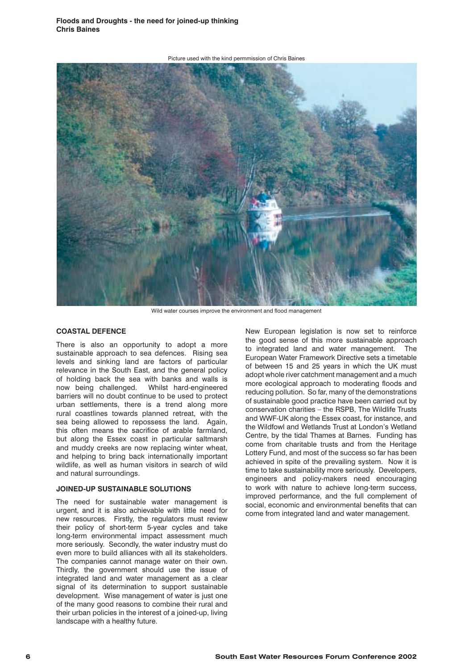Picture used with the kind permmission of Chris Baines



Wild water courses improve the environment and flood management

## **COASTAL DEFENCE**

There is also an opportunity to adopt a more sustainable approach to sea defences. Rising sea levels and sinking land are factors of particular relevance in the South East, and the general policy of holding back the sea with banks and walls is now being challenged. Whilst hard-engineered barriers will no doubt continue to be used to protect urban settlements, there is a trend along more rural coastlines towards planned retreat, with the sea being allowed to repossess the land. Again, this often means the sacrifice of arable farmland, but along the Essex coast in particular saltmarsh and muddy creeks are now replacing winter wheat, and helping to bring back internationally important wildlife, as well as human visitors in search of wild and natural surroundings.

#### **JOINED-UP SUSTAINABLE SOLUTIONS**

The need for sustainable water management is urgent, and it is also achievable with little need for new resources. Firstly, the regulators must review their policy of short-term 5-year cycles and take long-term environmental impact assessment much more seriously. Secondly, the water industry must do even more to build alliances with all its stakeholders. The companies cannot manage water on their own. Thirdly, the government should use the issue of integrated land and water management as a clear signal of its determination to support sustainable development. Wise management of water is just one of the many good reasons to combine their rural and their urban policies in the interest of a joined-up, living landscape with a healthy future.

New European legislation is now set to reinforce the good sense of this more sustainable approach to integrated land and water management. The European Water Framework Directive sets a timetable of between 15 and 25 years in which the UK must adopt whole river catchment management and a much more ecological approach to moderating floods and reducing pollution. So far, many of the demonstrations of sustainable good practice have been carried out by conservation charities – the RSPB, The Wildlife Trusts and WWF-UK along the Essex coast, for instance, and the Wildfowl and Wetlands Trust at London's Wetland Centre, by the tidal Thames at Barnes. Funding has come from charitable trusts and from the Heritage Lottery Fund, and most of the success so far has been achieved in spite of the prevailing system. Now it is time to take sustainability more seriously. Developers, engineers and policy-makers need encouraging to work with nature to achieve long-term success, improved performance, and the full complement of social, economic and environmental benefits that can come from integrated land and water management.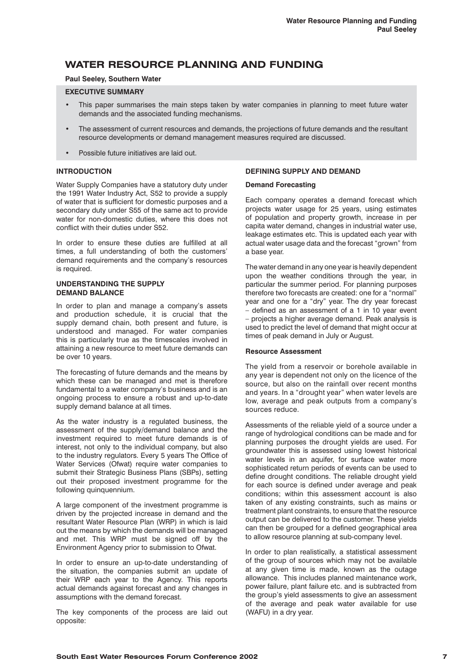# **WATER RESOURCE PLANNING AND FUNDING**

# **Paul Seeley, Southern Water**

## **EXECUTIVE SUMMARY**

- This paper summarises the main steps taken by water companies in planning to meet future water demands and the associated funding mechanisms.
- The assessment of current resources and demands, the projections of future demands and the resultant resource developments or demand management measures required are discussed.
- Possible future initiatives are laid out.

# **INTRODUCTION**

Water Supply Companies have a statutory duty under the 1991 Water Industry Act, S52 to provide a supply of water that is sufficient for domestic purposes and a secondary duty under S55 of the same act to provide water for non-domestic duties, where this does not conflict with their duties under S52.

In order to ensure these duties are fulfilled at all times, a full understanding of both the customers' demand requirements and the company's resources is required.

#### **UNDERSTANDING THE SUPPLY DEMAND BALANCE**

In order to plan and manage a company's assets and production schedule, it is crucial that the supply demand chain, both present and future, is understood and managed. For water companies this is particularly true as the timescales involved in attaining a new resource to meet future demands can be over 10 years.

The forecasting of future demands and the means by which these can be managed and met is therefore fundamental to a water company's business and is an ongoing process to ensure a robust and up-to-date supply demand balance at all times.

As the water industry is a regulated business, the assessment of the supply/demand balance and the investment required to meet future demands is of interest, not only to the individual company, but also to the industry regulators. Every 5 years The Office of Water Services (Ofwat) require water companies to submit their Strategic Business Plans (SBPs), setting out their proposed investment programme for the following quinquennium.

A large component of the investment programme is driven by the projected increase in demand and the resultant Water Resource Plan (WRP) in which is laid out the means by which the demands will be managed and met. This WRP must be signed off by the Environment Agency prior to submission to Ofwat.

In order to ensure an up-to-date understanding of the situation, the companies submit an update of their WRP each year to the Agency. This reports actual demands against forecast and any changes in assumptions with the demand forecast.

The key components of the process are laid out opposite:

# **DEFINING SUPPLY AND DEMAND**

#### **Demand Forecasting**

Each company operates a demand forecast which projects water usage for 25 years, using estimates of population and property growth, increase in per capita water demand, changes in industrial water use, leakage estimates etc. This is updated each year with actual water usage data and the forecast "grown" from a base year.

The water demand in any one year is heavily dependent upon the weather conditions through the year, in particular the summer period. For planning purposes therefore two forecasts are created: one for a "normal" year and one for a "dry" year. The dry year forecast – defined as an assessment of a 1 in 10 year event – projects a higher average demand. Peak analysis is used to predict the level of demand that might occur at times of peak demand in July or August.

#### **Resource Assessment**

The yield from a reservoir or borehole available in any year is dependent not only on the licence of the source, but also on the rainfall over recent months and years. In a "drought year" when water levels are low, average and peak outputs from a company's sources reduce.

Assessments of the reliable yield of a source under a range of hydrological conditions can be made and for planning purposes the drought yields are used. For groundwater this is assessed using lowest historical water levels in an aquifer, for surface water more sophisticated return periods of events can be used to define drought conditions. The reliable drought yield for each source is defined under average and peak conditions; within this assessment account is also taken of any existing constraints, such as mains or treatment plant constraints, to ensure that the resource output can be delivered to the customer. These yields can then be grouped for a defined geographical area to allow resource planning at sub-company level.

In order to plan realistically, a statistical assessment of the group of sources which may not be available at any given time is made, known as the outage allowance. This includes planned maintenance work, power failure, plant failure etc. and is subtracted from the group's yield assessments to give an assessment of the average and peak water available for use (WAFU) in a dry year.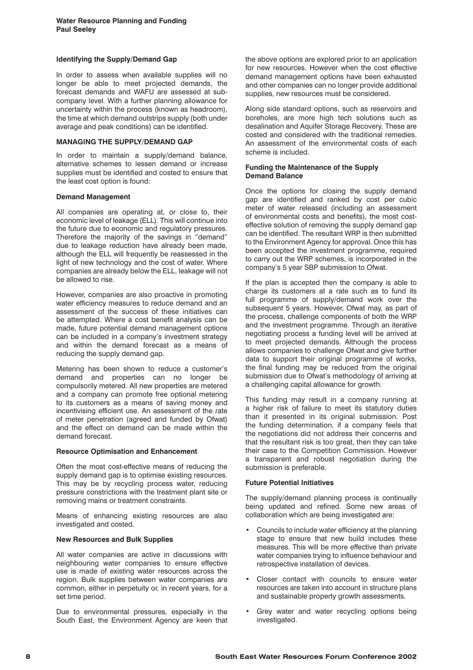#### **Identifying the Supply/Demand Gap**

In order to assess when available supplies will no longer be able to meet projected demands, the forecast demands and WAFU are assessed at subcompany level. With a further planning allowance for uncertainty within the process (known as headroom), the time at which demand outstrips supply (both under average and peak conditions) can be identified.

## **MANAGING THE SUPPLY/DEMAND GAP**

In order to maintain a supply/demand balance, alternative schemes to lessen demand or increase supplies must be identified and costed to ensure that the least cost option is found:

# **Demand Management**

All companies are operating at, or close to, their economic level of leakage (ELL). This will continue into the future due to economic and regulatory pressures. Therefore the majority of the savings in "demand" due to leakage reduction have already been made, although the ELL will frequently be reassessed in the light of new technology and the cost of water. Where companies are already below the ELL, leakage will not be allowed to rise.

However, companies are also proactive in promoting water efficiency measures to reduce demand and an assessment of the success of these initiatives can be attempted. Where a cost benefit analysis can be made, future potential demand management options can be included in a company's investment strategy and within the demand forecast as a means of reducing the supply demand gap.

Metering has been shown to reduce a customer's demand and properties can no longer be compulsorily metered. All new properties are metered and a company can promote free optional metering to its customers as a means of saving money and incentivising efficient use. An assessment of the rate of meter penetration (agreed and funded by Ofwat) and the effect on demand can be made within the demand forecast.

#### **Resource Optimisation and Enhancement**

Often the most cost-effective means of reducing the supply demand gap is to optimise existing resources. This may be by recycling process water, reducing pressure constrictions with the treatment plant site or removing mains or treatment constraints.

Means of enhancing existing resources are also investigated and costed.

#### **New Resources and Bulk Supplies**

All water companies are active in discussions with neighbouring water companies to ensure effective use is made of existing water resources across the region. Bulk supplies between water companies are common, either in perpetuity or, in recent years, for a set time period.

Due to environmental pressures, especially in the South East, the Environment Agency are keen that the above options are explored prior to an application for new resources. However when the cost effective demand management options have been exhausted and other companies can no longer provide additional supplies, new resources must be considered.

Along side standard options, such as reservoirs and boreholes, are more high tech solutions such as desalination and Aquifer Storage Recovery. These are costed and considered with the traditional remedies. An assessment of the environmental costs of each scheme is included.

#### **Funding the Maintenance of the Supply Demand Balance**

Once the options for closing the supply demand gap are identified and ranked by cost per cubic meter of water released (including an assessment of environmental costs and benefits), the most costeffective solution of removing the supply demand gap can be identified. The resultant WRP is then submitted to the Environment Agency for approval. Once this has been accepted the investment programme, required to carry out the WRP schemes, is incorporated in the company's 5 year SBP submission to Ofwat.

If the plan is accepted then the company is able to charge its customers at a rate such as to fund its full programme of supply/demand work over the subsequent 5 years. However, Ofwat may, as part of the process, challenge components of both the WRP and the investment programme. Through an iterative negotiating process a funding level will be arrived at to meet projected demands. Although the process allows companies to challenge Ofwat and give further data to support their original programme of works, the final funding may be reduced from the original submission due to Ofwat's methodology of arriving at a challenging capital allowance for growth.

This funding may result in a company running at a higher risk of failure to meet its statutory duties than it presented in its original submission. Post the funding determination, if a company feels that the negotiations did not address their concerns and that the resultant risk is too great, then they can take their case to the Competition Commission. However a transparent and robust negotiation during the submission is preferable.

#### **Future Potential Initiatives**

The supply/demand planning process is continually being updated and refined. Some new areas of collaboration which are being investigated are:

- Councils to include water efficiency at the planning stage to ensure that new build includes these measures. This will be more effective than private water companies trying to influence behaviour and retrospective installation of devices.
- Closer contact with councils to ensure water resources are taken into account in structure plans and sustainable property growth assessments.
- Grey water and water recycling options being investigated.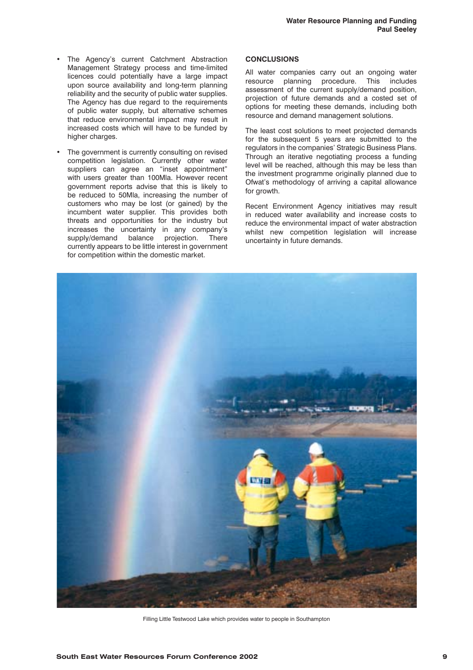- The Agency's current Catchment Abstraction Management Strategy process and time-limited licences could potentially have a large impact upon source availability and long-term planning reliability and the security of public water supplies. The Agency has due regard to the requirements of public water supply, but alternative schemes that reduce environmental impact may result in increased costs which will have to be funded by higher charges.
- The government is currently consulting on revised competition legislation. Currently other water suppliers can agree an "inset appointment" with users greater than 100Mla. However recent government reports advise that this is likely to be reduced to 50Mla, increasing the number of customers who may be lost (or gained) by the incumbent water supplier. This provides both threats and opportunities for the industry but increases the uncertainty in any company's supply/demand balance projection. There currently appears to be little interest in government for competition within the domestic market.

# **CONCLUSIONS**

All water companies carry out an ongoing water resource planning procedure. This includes assessment of the current supply/demand position, projection of future demands and a costed set of options for meeting these demands, including both resource and demand management solutions.

The least cost solutions to meet projected demands for the subsequent 5 years are submitted to the regulators in the companies' Strategic Business Plans. Through an iterative negotiating process a funding level will be reached, although this may be less than the investment programme originally planned due to Ofwat's methodology of arriving a capital allowance for growth.

Recent Environment Agency initiatives may result in reduced water availability and increase costs to reduce the environmental impact of water abstraction whilst new competition legislation will increase uncertainty in future demands.



Filling Little Testwood Lake which provides water to people in Southampton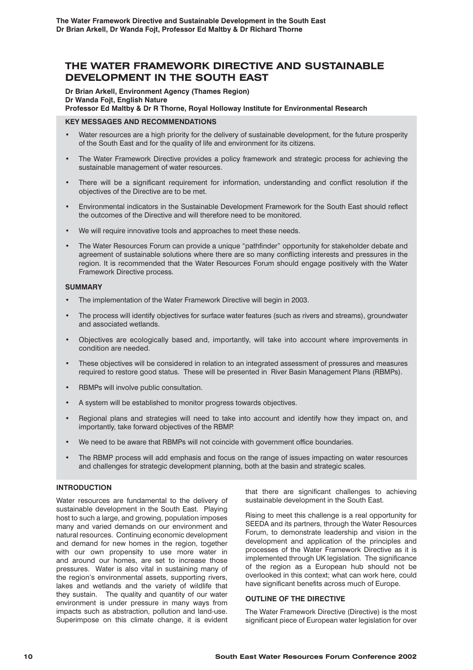# **THE WATER FRAMEWORK DIRECTIVE AND SUSTAINABLE DEVELOPMENT IN THE SOUTH EAST**

**Dr Brian Arkell, Environment Agency (Thames Region) Dr Wanda Fojt, English Nature Professor Ed Maltby & Dr R Thorne, Royal Holloway Institute for Environmental Research**

# **KEY MESSAGES AND RECOMMENDATIONS**

- Water resources are a high priority for the delivery of sustainable development, for the future prosperity of the South East and for the quality of life and environment for its citizens.
- The Water Framework Directive provides a policy framework and strategic process for achieving the sustainable management of water resources.
- There will be a significant requirement for information, understanding and conflict resolution if the objectives of the Directive are to be met.
- Environmental indicators in the Sustainable Development Framework for the South East should reflect the outcomes of the Directive and will therefore need to be monitored.
- We will require innovative tools and approaches to meet these needs.
- The Water Resources Forum can provide a unique "pathfinder" opportunity for stakeholder debate and agreement of sustainable solutions where there are so many conflicting interests and pressures in the region. It is recommended that the Water Resources Forum should engage positively with the Water Framework Directive process.

# **SUMMARY**

- The implementation of the Water Framework Directive will begin in 2003.
- The process will identify objectives for surface water features (such as rivers and streams), groundwater and associated wetlands.
- Objectives are ecologically based and, importantly, will take into account where improvements in condition are needed.
- These objectives will be considered in relation to an integrated assessment of pressures and measures required to restore good status. These will be presented in River Basin Management Plans (RBMPs).
- RBMPs will involve public consultation.
- A system will be established to monitor progress towards objectives.
- Regional plans and strategies will need to take into account and identify how they impact on, and importantly, take forward objectives of the RBMP.
- We need to be aware that RBMPs will not coincide with government office boundaries.
- The RBMP process will add emphasis and focus on the range of issues impacting on water resources and challenges for strategic development planning, both at the basin and strategic scales.

# **INTRODUCTION**

Water resources are fundamental to the delivery of sustainable development in the South East. Playing host to such a large, and growing, population imposes many and varied demands on our environment and natural resources. Continuing economic development and demand for new homes in the region, together with our own propensity to use more water in and around our homes, are set to increase those pressures. Water is also vital in sustaining many of the region's environmental assets, supporting rivers, lakes and wetlands and the variety of wildlife that they sustain. The quality and quantity of our water environment is under pressure in many ways from impacts such as abstraction, pollution and land-use. Superimpose on this climate change, it is evident that there are significant challenges to achieving sustainable development in the South East.

Rising to meet this challenge is a real opportunity for SEEDA and its partners, through the Water Resources Forum, to demonstrate leadership and vision in the development and application of the principles and processes of the Water Framework Directive as it is implemented through UK legislation. The significance of the region as a European hub should not be overlooked in this context; what can work here, could have significant benefits across much of Europe.

#### **OUTLINE OF THE DIRECTIVE**

The Water Framework Directive (Directive) is the most significant piece of European water legislation for over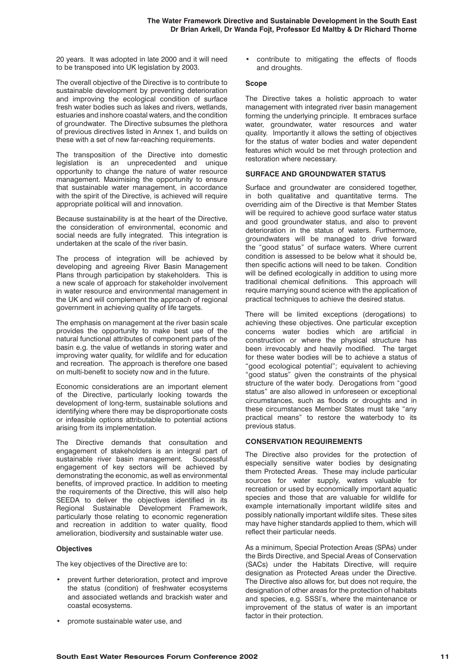20 years. It was adopted in late 2000 and it will need to be transposed into UK legislation by 2003.

The overall objective of the Directive is to contribute to sustainable development by preventing deterioration and improving the ecological condition of surface fresh water bodies such as lakes and rivers, wetlands, estuaries and inshore coastal waters, and the condition of groundwater. The Directive subsumes the plethora of previous directives listed in Annex 1, and builds on these with a set of new far-reaching requirements.

The transposition of the Directive into domestic legislation is an unprecedented and unique opportunity to change the nature of water resource management. Maximising the opportunity to ensure that sustainable water management, in accordance with the spirit of the Directive, is achieved will require appropriate political will and innovation.

Because sustainability is at the heart of the Directive, the consideration of environmental, economic and social needs are fully integrated. This integration is undertaken at the scale of the river basin.

The process of integration will be achieved by developing and agreeing River Basin Management Plans through participation by stakeholders. This is a new scale of approach for stakeholder involvement in water resource and environmental management in the UK and will complement the approach of regional government in achieving quality of life targets.

The emphasis on management at the river basin scale provides the opportunity to make best use of the natural functional attributes of component parts of the basin e.g. the value of wetlands in storing water and improving water quality, for wildlife and for education and recreation. The approach is therefore one based on multi-benefit to society now and in the future.

Economic considerations are an important element of the Directive, particularly looking towards the development of long-term, sustainable solutions and identifying where there may be disproportionate costs or infeasible options attributable to potential actions arising from its implementation.

The Directive demands that consultation and engagement of stakeholders is an integral part of sustainable river basin management. Successful engagement of key sectors will be achieved by demonstrating the economic, as well as environmental benefits, of improved practice. In addition to meeting the requirements of the Directive, this will also help SEEDA to deliver the objectives identified in its Regional Sustainable Development Framework, particularly those relating to economic regeneration and recreation in addition to water quality, flood amelioration, biodiversity and sustainable water use.

# **Objectives**

The key objectives of the Directive are to:

- prevent further deterioration, protect and improve the status (condition) of freshwater ecosystems and associated wetlands and brackish water and coastal ecosystems.
- promote sustainable water use, and

• contribute to mitigating the effects of floods and droughts.

## **Scope**

The Directive takes a holistic approach to water management with integrated river basin management forming the underlying principle. It embraces surface water, groundwater, water resources and water quality. Importantly it allows the setting of objectives for the status of water bodies and water dependent features which would be met through protection and restoration where necessary.

# **SURFACE AND GROUNDWATER STATUS**

Surface and groundwater are considered together, in both qualitative and quantitative terms. The overriding aim of the Directive is that Member States will be required to achieve good surface water status and good groundwater status, and also to prevent deterioration in the status of waters. Furthermore, groundwaters will be managed to drive forward the "good status" of surface waters. Where current condition is assessed to be below what it should be, then specific actions will need to be taken. Condition will be defined ecologically in addition to using more traditional chemical definitions. This approach will require marrying sound science with the application of practical techniques to achieve the desired status.

There will be limited exceptions (derogations) to achieving these objectives. One particular exception concerns water bodies which are artificial in construction or where the physical structure has been irrevocably and heavily modified. The target for these water bodies will be to achieve a status of "good ecological potential"; equivalent to achieving "good status" given the constraints of the physical structure of the water body. Derogations from "good status" are also allowed in unforeseen or exceptional circumstances, such as floods or droughts and in these circumstances Member States must take "any practical means" to restore the waterbody to its previous status.

# **CONSERVATION REQUIREMENTS**

The Directive also provides for the protection of especially sensitive water bodies by designating them Protected Areas. These may include particular sources for water supply, waters valuable for recreation or used by economically important aquatic species and those that are valuable for wildlife for example internationally important wildlife sites and possibly nationally important wildlife sites. These sites may have higher standards applied to them, which will reflect their particular needs.

As a minimum, Special Protection Areas (SPAs) under the Birds Directive, and Special Areas of Conservation (SACs) under the Habitats Directive, will require designation as Protected Areas under the Directive. The Directive also allows for, but does not require, the designation of other areas for the protection of habitats and species, e.g. SSSI's, where the maintenance or improvement of the status of water is an important factor in their protection.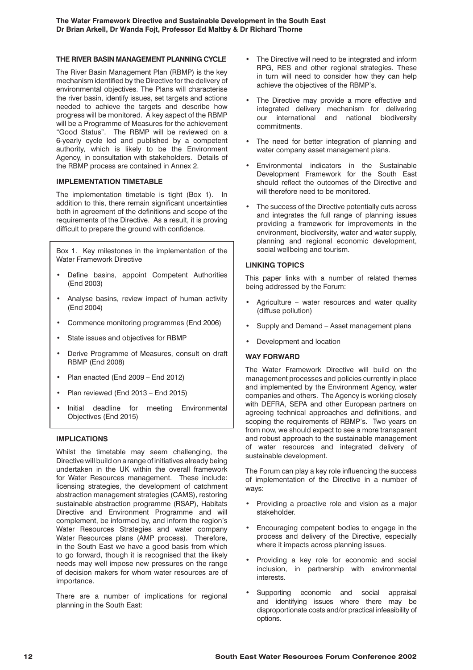# **THE RIVER BASIN MANAGEMENT PLANNING CYCLE**

The River Basin Management Plan (RBMP) is the key mechanism identified by the Directive for the delivery of environmental objectives. The Plans will characterise the river basin, identify issues, set targets and actions needed to achieve the targets and describe how progress will be monitored. A key aspect of the RBMP will be a Programme of Measures for the achievement "Good Status". The RBMP will be reviewed on a 6-yearly cycle led and published by a competent authority, which is likely to be the Environment Agency, in consultation with stakeholders. Details of the RBMP process are contained in Annex 2.

# **IMPLEMENTATION TIMETABLE**

The implementation timetable is tight (Box 1). In addition to this, there remain significant uncertainties both in agreement of the definitions and scope of the requirements of the Directive. As a result, it is proving difficult to prepare the ground with confidence.

Box 1. Key milestones in the implementation of the Water Framework Directive

- Define basins, appoint Competent Authorities (End 2003)
- Analyse basins, review impact of human activity (End 2004)
- Commence monitoring programmes (End 2006)
- State issues and objectives for RBMP
- Derive Programme of Measures, consult on draft RBMP (End 2008)
- Plan enacted (End 2009 End 2012)
- Plan reviewed (End 2013 End 2015)
- Initial deadline for meeting Environmental Objectives (End 2015)

# **IMPLICATIONS**

Whilst the timetable may seem challenging, the Directive will build on a range of initiatives already being undertaken in the UK within the overall framework for Water Resources management. These include: licensing strategies, the development of catchment abstraction management strategies (CAMS), restoring sustainable abstraction programme (RSAP), Habitats Directive and Environment Programme and will complement, be informed by, and inform the region's Water Resources Strategies and water company Water Resources plans (AMP process). Therefore, in the South East we have a good basis from which to go forward, though it is recognised that the likely needs may well impose new pressures on the range of decision makers for whom water resources are of importance.

There are a number of implications for regional planning in the South East:

- The Directive will need to be integrated and inform RPG, RES and other regional strategies. These in turn will need to consider how they can help achieve the objectives of the RBMP's.
- The Directive may provide a more effective and integrated delivery mechanism for delivering our international and national biodiversity commitments.
- The need for better integration of planning and water company asset management plans.
- Environmental indicators in the Sustainable Development Framework for the South East should reflect the outcomes of the Directive and will therefore need to be monitored.
- The success of the Directive potentially cuts across and integrates the full range of planning issues providing a framework for improvements in the environment, biodiversity, water and water supply, planning and regional economic development, social wellbeing and tourism.

# **LINKING TOPICS**

This paper links with a number of related themes being addressed by the Forum:

- Agriculture water resources and water quality (diffuse pollution)
- Supply and Demand Asset management plans
- Development and location

#### **WAY FORWARD**

The Water Framework Directive will build on the management processes and policies currently in place and implemented by the Environment Agency, water companies and others. The Agency is working closely with DEFRA, SEPA and other European partners on agreeing technical approaches and definitions, and scoping the requirements of RBMP's. Two years on from now, we should expect to see a more transparent and robust approach to the sustainable management of water resources and integrated delivery of sustainable development.

The Forum can play a key role influencing the success of implementation of the Directive in a number of ways:

- Providing a proactive role and vision as a major stakeholder.
- Encouraging competent bodies to engage in the process and delivery of the Directive, especially where it impacts across planning issues.
- Providing a key role for economic and social inclusion, in partnership with environmental interests.
- Supporting economic and social appraisal and identifying issues where there may be disproportionate costs and/or practical infeasibility of options.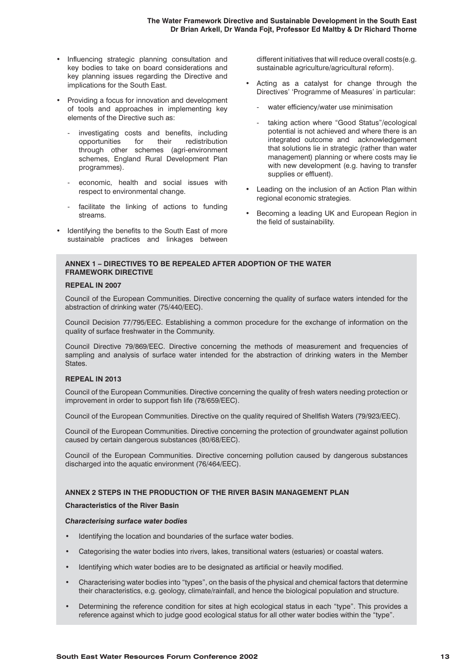- Influencing strategic planning consultation and key bodies to take on board considerations and key planning issues regarding the Directive and implications for the South East.
- Providing a focus for innovation and development of tools and approaches in implementing key elements of the Directive such as:
	- investigating costs and benefits, including opportunities for their redistribution through other schemes (agri-environment schemes, England Rural Development Plan programmes).
	- economic, health and social issues with respect to environmental change.
	- facilitate the linking of actions to funding streams.
- Identifying the benefits to the South East of more sustainable practices and linkages between

different initiatives that will reduce overall costs(e.g. sustainable agriculture/agricultural reform).

- Acting as a catalyst for change through the Directives' 'Programme of Measures' in particular:
	- water efficiency/water use minimisation
	- taking action where "Good Status"/ecological potential is not achieved and where there is an integrated outcome and acknowledgement that solutions lie in strategic (rather than water management) planning or where costs may lie with new development (e.g. having to transfer supplies or effluent).
- Leading on the inclusion of an Action Plan within regional economic strategies.
- Becoming a leading UK and European Region in the field of sustainability.

## **ANNEX 1 – DIRECTIVES TO BE REPEALED AFTER ADOPTION OF THE WATER FRAMEWORK DIRECTIVE**

#### **REPEAL IN 2007**

Council of the European Communities. Directive concerning the quality of surface waters intended for the abstraction of drinking water (75/440/EEC).

Council Decision 77/795/EEC. Establishing a common procedure for the exchange of information on the quality of surface freshwater in the Community.

Council Directive 79/869/EEC. Directive concerning the methods of measurement and frequencies of sampling and analysis of surface water intended for the abstraction of drinking waters in the Member States.

#### **REPEAL IN 2013**

Council of the European Communities. Directive concerning the quality of fresh waters needing protection or improvement in order to support fish life (78/659/EEC).

Council of the European Communities. Directive on the quality required of Shellfish Waters (79/923/EEC).

Council of the European Communities. Directive concerning the protection of groundwater against pollution caused by certain dangerous substances (80/68/EEC).

Council of the European Communities. Directive concerning pollution caused by dangerous substances discharged into the aquatic environment (76/464/EEC).

# **ANNEX 2 STEPS IN THE PRODUCTION OF THE RIVER BASIN MANAGEMENT PLAN**

#### **Characteristics of the River Basin**

#### *Characterising surface water bodies*

- Identifying the location and boundaries of the surface water bodies.
- Categorising the water bodies into rivers, lakes, transitional waters (estuaries) or coastal waters.
- Identifying which water bodies are to be designated as artificial or heavily modified.
- Characterising water bodies into "types", on the basis of the physical and chemical factors that determine their characteristics, e.g. geology, climate/rainfall, and hence the biological population and structure.
- Determining the reference condition for sites at high ecological status in each "type". This provides a reference against which to judge good ecological status for all other water bodies within the "type".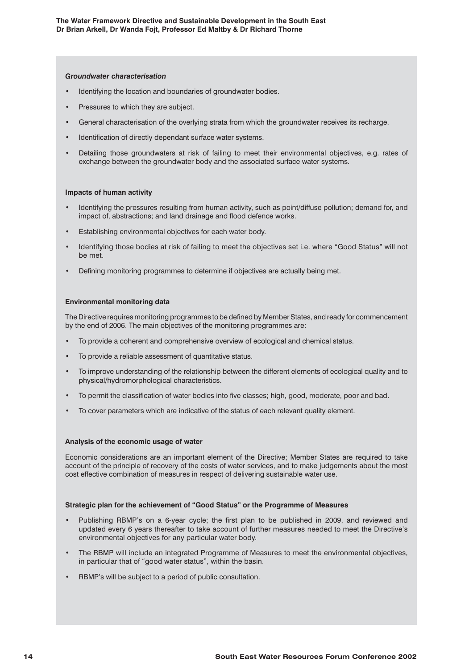#### *Groundwater characterisation*

- Identifying the location and boundaries of groundwater bodies.
- Pressures to which they are subject.
- General characterisation of the overlying strata from which the groundwater receives its recharge.
- Identification of directly dependant surface water systems.
- Detailing those groundwaters at risk of failing to meet their environmental objectives, e.g. rates of exchange between the groundwater body and the associated surface water systems.

# **Impacts of human activity**

- Identifying the pressures resulting from human activity, such as point/diffuse pollution; demand for, and impact of, abstractions; and land drainage and flood defence works.
- Establishing environmental objectives for each water body.
- Identifying those bodies at risk of failing to meet the objectives set i.e. where "Good Status" will not be met.
- Defining monitoring programmes to determine if objectives are actually being met.

# **Environmental monitoring data**

The Directive requires monitoring programmes to be defined by Member States, and ready for commencement by the end of 2006. The main objectives of the monitoring programmes are:

- To provide a coherent and comprehensive overview of ecological and chemical status.
- To provide a reliable assessment of quantitative status.
- To improve understanding of the relationship between the different elements of ecological quality and to physical/hydromorphological characteristics.
- To permit the classification of water bodies into five classes; high, good, moderate, poor and bad.
- To cover parameters which are indicative of the status of each relevant quality element.

#### **Analysis of the economic usage of water**

Economic considerations are an important element of the Directive; Member States are required to take account of the principle of recovery of the costs of water services, and to make judgements about the most cost effective combination of measures in respect of delivering sustainable water use.

#### **Strategic plan for the achievement of "Good Status" or the Programme of Measures**

- Publishing RBMP's on a 6-year cycle; the first plan to be published in 2009, and reviewed and updated every 6 years thereafter to take account of further measures needed to meet the Directive's environmental objectives for any particular water body.
- The RBMP will include an integrated Programme of Measures to meet the environmental objectives, in particular that of "good water status", within the basin.
- RBMP's will be subject to a period of public consultation.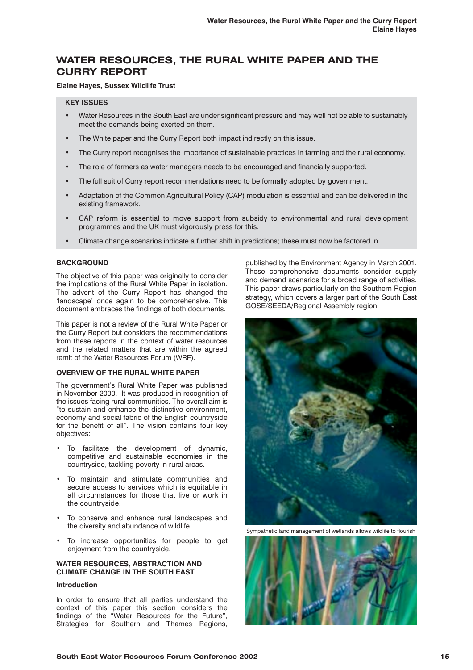# **WATER RESOURCES, THE RURAL WHITE PAPER AND THE CURRY REPORT**

# **Elaine Hayes, Sussex Wildlife Trust**

#### **KEY ISSUES**

- Water Resources in the South East are under significant pressure and may well not be able to sustainably meet the demands being exerted on them.
- The White paper and the Curry Report both impact indirectly on this issue.
- The Curry report recognises the importance of sustainable practices in farming and the rural economy.
- The role of farmers as water managers needs to be encouraged and financially supported.
- The full suit of Curry report recommendations need to be formally adopted by government.
- Adaptation of the Common Agricultural Policy (CAP) modulation is essential and can be delivered in the existing framework.
- CAP reform is essential to move support from subsidy to environmental and rural development programmes and the UK must vigorously press for this.
- Climate change scenarios indicate a further shift in predictions; these must now be factored in.

#### **BACKGROUND**

The objective of this paper was originally to consider the implications of the Rural White Paper in isolation. The advent of the Curry Report has changed the 'landscape' once again to be comprehensive. This document embraces the findings of both documents.

This paper is not a review of the Rural White Paper or the Curry Report but considers the recommendations from these reports in the context of water resources and the related matters that are within the agreed remit of the Water Resources Forum (WRF).

#### **OVERVIEW OF THE RURAL WHITE PAPER**

The government's Rural White Paper was published in November 2000. It was produced in recognition of the issues facing rural communities. The overall aim is "to sustain and enhance the distinctive environment, economy and social fabric of the English countryside for the benefit of all". The vision contains four key objectives:

- To facilitate the development of dynamic, competitive and sustainable economies in the countryside, tackling poverty in rural areas.
- To maintain and stimulate communities and secure access to services which is equitable in all circumstances for those that live or work in the countryside.
- To conserve and enhance rural landscapes and the diversity and abundance of wildlife.
- To increase opportunities for people to get enjoyment from the countryside.

# **WATER RESOURCES, ABSTRACTION AND CLIMATE CHANGE IN THE SOUTH EAST**

## **Introduction**

In order to ensure that all parties understand the context of this paper this section considers the findings of the "Water Resources for the Future", Strategies for Southern and Thames Regions, published by the Environment Agency in March 2001. These comprehensive documents consider supply and demand scenarios for a broad range of activities. This paper draws particularly on the Southern Region strategy, which covers a larger part of the South East GOSE/SEEDA/Regional Assembly region.



Sympathetic land management of wetlands allows wildlife to flourish

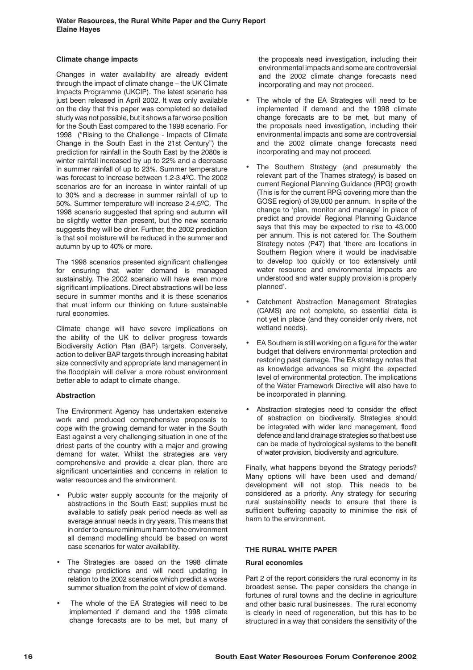# **Climate change impacts**

Changes in water availability are already evident through the impact of climate change – the UK Climate Impacts Programme (UKCIP). The latest scenario has just been released in April 2002. It was only available on the day that this paper was completed so detailed study was not possible, but it shows a far worse position for the South East compared to the 1998 scenario. For 1998 ("Rising to the Challenge - Impacts of Climate Change in the South East in the 21st Century") the prediction for rainfall in the South East by the 2080s is winter rainfall increased by up to 22% and a decrease in summer rainfall of up to 23%. Summer temperature was forecast to increase between 1.2-3.4ºC. The 2002 scenarios are for an increase in winter rainfall of up to 30% and a decrease in summer rainfall of up to 50%. Summer temperature will increase 2-4.5ºC. The 1998 scenario suggested that spring and autumn will be slightly wetter than present, but the new scenario suggests they will be drier. Further, the 2002 prediction is that soil moisture will be reduced in the summer and autumn by up to 40% or more.

The 1998 scenarios presented significant challenges for ensuring that water demand is managed sustainably. The 2002 scenario will have even more significant implications. Direct abstractions will be less secure in summer months and it is these scenarios that must inform our thinking on future sustainable rural economies.

Climate change will have severe implications on the ability of the UK to deliver progress towards Biodiversity Action Plan (BAP) targets. Conversely, action to deliver BAP targets through increasing habitat size connectivity and appropriate land management in the floodplain will deliver a more robust environment better able to adapt to climate change.

# **Abstraction**

The Environment Agency has undertaken extensive work and produced comprehensive proposals to cope with the growing demand for water in the South East against a very challenging situation in one of the driest parts of the country with a major and growing demand for water. Whilst the strategies are very comprehensive and provide a clear plan, there are significant uncertainties and concerns in relation to water resources and the environment.

- Public water supply accounts for the majority of abstractions in the South East; supplies must be available to satisfy peak period needs as well as average annual needs in dry years. This means that in order to ensure minimum harm to the environment all demand modelling should be based on worst case scenarios for water availability.
- The Strategies are based on the 1998 climate change predictions and will need updating in relation to the 2002 scenarios which predict a worse summer situation from the point of view of demand.
- The whole of the EA Strategies will need to be implemented if demand and the 1998 climate change forecasts are to be met, but many of

the proposals need investigation, including their environmental impacts and some are controversial and the 2002 climate change forecasts need incorporating and may not proceed.

- The whole of the EA Strategies will need to be implemented if demand and the 1998 climate change forecasts are to be met, but many of the proposals need investigation, including their environmental impacts and some are controversial and the 2002 climate change forecasts need incorporating and may not proceed.
- The Southern Strategy (and presumably the relevant part of the Thames strategy) is based on current Regional Planning Guidance (RPG) growth (This is for the current RPG covering more than the GOSE region) of 39,000 per annum. In spite of the change to 'plan, monitor and manage' in place of predict and provide' Regional Planning Guidance says that this may be expected to rise to 43,000 per annum. This is not catered for. The Southern Strategy notes (P47) that 'there are locations in Southern Region where it would be inadvisable to develop too quickly or too extensively until water resource and environmental impacts are understood and water supply provision is properly planned'.
- Catchment Abstraction Management Strategies (CAMS) are not complete, so essential data is not yet in place (and they consider only rivers, not wetland needs).
- EA Southern is still working on a figure for the water budget that delivers environmental protection and restoring past damage. The EA strategy notes that as knowledge advances so might the expected level of environmental protection. The implications of the Water Framework Directive will also have to be incorporated in planning.
- Abstraction strategies need to consider the effect of abstraction on biodiversity. Strategies should be integrated with wider land management, flood defence and land drainage strategies so that best use can be made of hydrological systems to the benefit of water provision, biodiversity and agriculture.

Finally, what happens beyond the Strategy periods? Many options will have been used and demand/ development will not stop. This needs to be considered as a priority. Any strategy for securing rural sustainability needs to ensure that there is sufficient buffering capacity to minimise the risk of harm to the environment.

# **THE RURAL WHITE PAPER**

#### **Rural economies**

Part 2 of the report considers the rural economy in its broadest sense. The paper considers the change in fortunes of rural towns and the decline in agriculture and other basic rural businesses. The rural economy is clearly in need of regeneration, but this has to be structured in a way that considers the sensitivity of the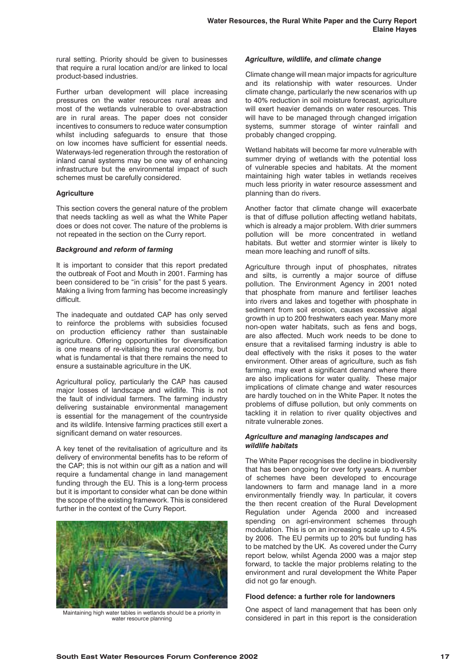rural setting. Priority should be given to businesses that require a rural location and/or are linked to local product-based industries.

Further urban development will place increasing pressures on the water resources rural areas and most of the wetlands vulnerable to over-abstraction are in rural areas. The paper does not consider incentives to consumers to reduce water consumption whilst including safeguards to ensure that those on low incomes have sufficient for essential needs. Waterways-led regeneration through the restoration of inland canal systems may be one way of enhancing infrastructure but the environmental impact of such schemes must be carefully considered.

# **Agriculture**

This section covers the general nature of the problem that needs tackling as well as what the White Paper does or does not cover. The nature of the problems is not repeated in the section on the Curry report.

# *Background and reform of farming*

It is important to consider that this report predated the outbreak of Foot and Mouth in 2001. Farming has been considered to be "in crisis" for the past 5 years. Making a living from farming has become increasingly difficult.

The inadequate and outdated CAP has only served to reinforce the problems with subsidies focused on production efficiency rather than sustainable agriculture. Offering opportunities for diversification is one means of re-vitalising the rural economy, but what is fundamental is that there remains the need to ensure a sustainable agriculture in the UK.

Agricultural policy, particularly the CAP has caused major losses of landscape and wildlife. This is not the fault of individual farmers. The farming industry delivering sustainable environmental management is essential for the management of the countryside and its wildlife. Intensive farming practices still exert a significant demand on water resources.

A key tenet of the revitalisation of agriculture and its delivery of environmental benefits has to be reform of the CAP; this is not within our gift as a nation and will require a fundamental change in land management funding through the EU. This is a long-term process but it is important to consider what can be done within the scope of the existing framework. This is considered further in the context of the Curry Report.



Maintaining high water tables in wetlands should be a priority in water resource planning

# *Agriculture, wildlife, and climate change*

Climate change will mean major impacts for agriculture and its relationship with water resources. Under climate change, particularly the new scenarios with up to 40% reduction in soil moisture forecast, agriculture will exert heavier demands on water resources. This will have to be managed through changed irrigation systems, summer storage of winter rainfall and probably changed cropping.

Wetland habitats will become far more vulnerable with summer drying of wetlands with the potential loss of vulnerable species and habitats. At the moment maintaining high water tables in wetlands receives much less priority in water resource assessment and planning than do rivers.

Another factor that climate change will exacerbate is that of diffuse pollution affecting wetland habitats, which is already a major problem. With drier summers pollution will be more concentrated in wetland habitats. But wetter and stormier winter is likely to mean more leaching and runoff of silts.

Agriculture through input of phosphates, nitrates and silts, is currently a major source of diffuse pollution. The Environment Agency in 2001 noted that phosphate from manure and fertiliser leaches into rivers and lakes and together with phosphate in sediment from soil erosion, causes excessive algal growth in up to 200 freshwaters each year. Many more non-open water habitats, such as fens and bogs, are also affected. Much work needs to be done to ensure that a revitalised farming industry is able to deal effectively with the risks it poses to the water environment. Other areas of agriculture, such as fish farming, may exert a significant demand where there are also implications for water quality. These major implications of climate change and water resources are hardly touched on in the White Paper. It notes the problems of diffuse pollution, but only comments on tackling it in relation to river quality objectives and nitrate vulnerable zones.

# *Agriculture and managing landscapes and wildlife habitats*

The White Paper recognises the decline in biodiversity that has been ongoing for over forty years. A number of schemes have been developed to encourage landowners to farm and manage land in a more environmentally friendly way. In particular, it covers the then recent creation of the Rural Development Regulation under Agenda 2000 and increased spending on agri-environment schemes through modulation. This is on an increasing scale up to 4.5% by 2006. The EU permits up to 20% but funding has to be matched by the UK. As covered under the Curry report below, whilst Agenda 2000 was a major step forward, to tackle the major problems relating to the environment and rural development the White Paper did not go far enough.

# **Flood defence: a further role for landowners**

One aspect of land management that has been only considered in part in this report is the consideration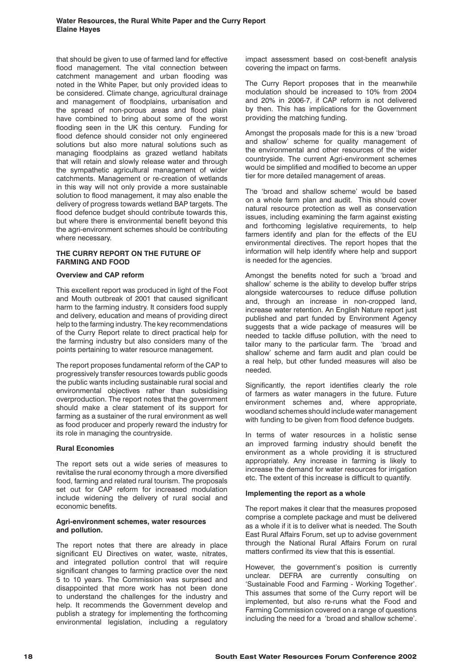that should be given to use of farmed land for effective flood management. The vital connection between catchment management and urban flooding was noted in the White Paper, but only provided ideas to be considered. Climate change, agricultural drainage and management of floodplains, urbanisation and the spread of non-porous areas and flood plain have combined to bring about some of the worst flooding seen in the UK this century. Funding for flood defence should consider not only engineered solutions but also more natural solutions such as managing floodplains as grazed wetland habitats that will retain and slowly release water and through the sympathetic agricultural management of wider catchments. Management or re-creation of wetlands in this way will not only provide a more sustainable solution to flood management, it may also enable the delivery of progress towards wetland BAP targets. The flood defence budget should contribute towards this, but where there is environmental benefit beyond this the agri-environment schemes should be contributing where necessary.

# **THE CURRY REPORT ON THE FUTURE OF FARMING AND FOOD**

# **Overview and CAP reform**

This excellent report was produced in light of the Foot and Mouth outbreak of 2001 that caused significant harm to the farming industry. It considers food supply and delivery, education and means of providing direct help to the farming industry. The key recommendations of the Curry Report relate to direct practical help for the farming industry but also considers many of the points pertaining to water resource management.

The report proposes fundamental reform of the CAP to progressively transfer resources towards public goods the public wants including sustainable rural social and environmental objectives rather than subsidising overproduction. The report notes that the government should make a clear statement of its support for farming as a sustainer of the rural environment as well as food producer and properly reward the industry for its role in managing the countryside.

#### **Rural Economies**

The report sets out a wide series of measures to revitalise the rural economy through a more diversified food, farming and related rural tourism. The proposals set out for CAP reform for increased modulation include widening the delivery of rural social and economic benefits.

#### **Agri-environment schemes, water resources and pollution.**

The report notes that there are already in place significant EU Directives on water, waste, nitrates, and integrated pollution control that will require significant changes to farming practice over the next 5 to 10 years. The Commission was surprised and disappointed that more work has not been done to understand the challenges for the industry and help. It recommends the Government develop and publish a strategy for implementing the forthcoming environmental legislation, including a regulatory impact assessment based on cost-benefit analysis covering the impact on farms.

The Curry Report proposes that in the meanwhile modulation should be increased to 10% from 2004 and 20% in 2006-7, if CAP reform is not delivered by then. This has implications for the Government providing the matching funding.

Amongst the proposals made for this is a new 'broad and shallow' scheme for quality management of the environmental and other resources of the wider countryside. The current Agri-environment schemes would be simplified and modified to become an upper tier for more detailed management of areas.

The 'broad and shallow scheme' would be based on a whole farm plan and audit. This should cover natural resource protection as well as conservation issues, including examining the farm against existing and forthcoming legislative requirements, to help farmers identify and plan for the effects of the EU environmental directives. The report hopes that the information will help identify where help and support is needed for the agencies.

Amongst the benefits noted for such a 'broad and shallow' scheme is the ability to develop buffer strips alongside watercourses to reduce diffuse pollution and, through an increase in non-cropped land, increase water retention. An English Nature report just published and part funded by Environment Agency suggests that a wide package of measures will be needed to tackle diffuse pollution, with the need to tailor many to the particular farm. The 'broad and shallow' scheme and farm audit and plan could be a real help, but other funded measures will also be needed.

Significantly, the report identifies clearly the role of farmers as water managers in the future. Future environment schemes and, where appropriate, woodland schemes should include water management with funding to be given from flood defence budgets.

In terms of water resources in a holistic sense an improved farming industry should benefit the environment as a whole providing it is structured appropriately. Any increase in farming is likely to increase the demand for water resources for irrigation etc. The extent of this increase is difficult to quantify.

#### **Implementing the report as a whole**

The report makes it clear that the measures proposed comprise a complete package and must be delivered as a whole if it is to deliver what is needed. The South East Rural Affairs Forum, set up to advise government through the National Rural Affairs Forum on rural matters confirmed its view that this is essential.

However, the government's position is currently unclear. DEFRA are currently consulting on 'Sustainable Food and Farming - Working Together'. This assumes that some of the Curry report will be implemented, but also re-runs what the Food and Farming Commission covered on a range of questions including the need for a 'broad and shallow scheme'.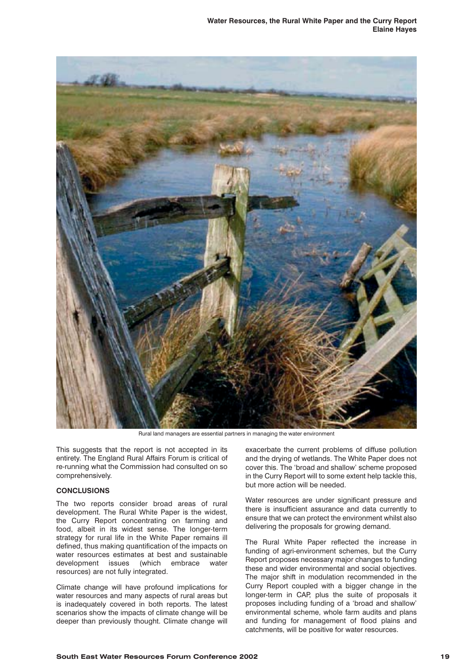**Water Resources, the Rural White Paper and the Curry Report Elaine Hayes**



Rural land managers are essential partners in managing the water environment

This suggests that the report is not accepted in its entirety. The England Rural Affairs Forum is critical of re-running what the Commission had consulted on so comprehensively.

# **CONCLUSIONS**

The two reports consider broad areas of rural development. The Rural White Paper is the widest, the Curry Report concentrating on farming and food, albeit in its widest sense. The longer-term strategy for rural life in the White Paper remains ill defined, thus making quantification of the impacts on water resources estimates at best and sustainable development issues (which embrace water resources) are not fully integrated.

Climate change will have profound implications for water resources and many aspects of rural areas but is inadequately covered in both reports. The latest scenarios show the impacts of climate change will be deeper than previously thought. Climate change will

exacerbate the current problems of diffuse pollution and the drying of wetlands. The White Paper does not cover this. The 'broad and shallow' scheme proposed in the Curry Report will to some extent help tackle this, but more action will be needed.

Water resources are under significant pressure and there is insufficient assurance and data currently to ensure that we can protect the environment whilst also delivering the proposals for growing demand.

The Rural White Paper reflected the increase in funding of agri-environment schemes, but the Curry Report proposes necessary major changes to funding these and wider environmental and social objectives. The major shift in modulation recommended in the Curry Report coupled with a bigger change in the longer-term in CAP, plus the suite of proposals it proposes including funding of a 'broad and shallow' environmental scheme, whole farm audits and plans and funding for management of flood plains and catchments, will be positive for water resources.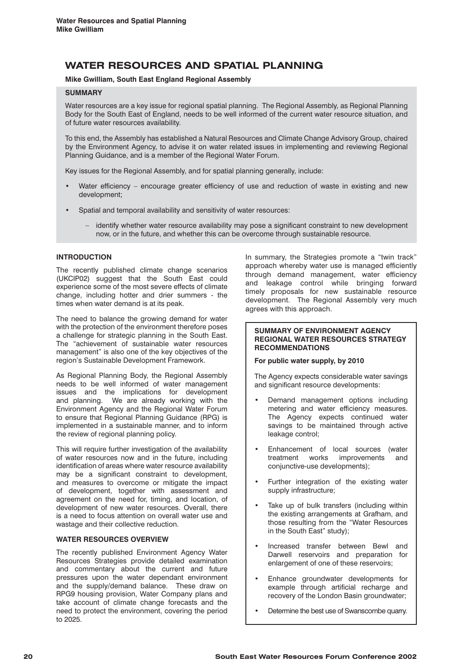# **WATER RESOURCES AND SPATIAL PLANNING**

# **Mike Gwilliam, South East England Regional Assembly**

# **SUMMARY**

Water resources are a key issue for regional spatial planning. The Regional Assembly, as Regional Planning Body for the South East of England, needs to be well informed of the current water resource situation, and of future water resources availability.

To this end, the Assembly has established a Natural Resources and Climate Change Advisory Group, chaired by the Environment Agency, to advise it on water related issues in implementing and reviewing Regional Planning Guidance, and is a member of the Regional Water Forum.

Key issues for the Regional Assembly, and for spatial planning generally, include:

- Water efficiency encourage greater efficiency of use and reduction of waste in existing and new development;
- Spatial and temporal availability and sensitivity of water resources:
	- identify whether water resource availability may pose a significant constraint to new development now, or in the future, and whether this can be overcome through sustainable resource.

# **INTRODUCTION**

The recently published climate change scenarios (UKCIP02) suggest that the South East could experience some of the most severe effects of climate change, including hotter and drier summers - the times when water demand is at its peak.

The need to balance the growing demand for water with the protection of the environment therefore poses a challenge for strategic planning in the South East. The "achievement of sustainable water resources management" is also one of the key objectives of the region's Sustainable Development Framework.

As Regional Planning Body, the Regional Assembly needs to be well informed of water management issues and the implications for development and planning. We are already working with the Environment Agency and the Regional Water Forum to ensure that Regional Planning Guidance (RPG) is implemented in a sustainable manner, and to inform the review of regional planning policy.

This will require further investigation of the availability of water resources now and in the future, including identification of areas where water resource availability may be a significant constraint to development, and measures to overcome or mitigate the impact of development, together with assessment and agreement on the need for, timing, and location, of development of new water resources. Overall, there is a need to focus attention on overall water use and wastage and their collective reduction.

# **WATER RESOURCES OVERVIEW**

The recently published Environment Agency Water Resources Strategies provide detailed examination and commentary about the current and future pressures upon the water dependant environment and the supply/demand balance. These draw on RPG9 housing provision, Water Company plans and take account of climate change forecasts and the need to protect the environment, covering the period to 2025.

In summary, the Strategies promote a "twin track" approach whereby water use is managed efficiently through demand management, water efficiency and leakage control while bringing forward timely proposals for new sustainable resource development. The Regional Assembly very much agrees with this approach.

## **SUMMARY OF ENVIRONMENT AGENCY REGIONAL WATER RESOURCES STRATEGY RECOMMENDATIONS**

#### **For public water supply, by 2010**

The Agency expects considerable water savings and significant resource developments:

- Demand management options including metering and water efficiency measures. The Agency expects continued water savings to be maintained through active leakage control;
- Enhancement of local sources (water treatment works improvements and conjunctive-use developments);
- Further integration of the existing water supply infrastructure;
- Take up of bulk transfers (including within the existing arrangements at Grafham, and those resulting from the "Water Resources in the South East" study);
- Increased transfer between Bewl and Darwell reservoirs and preparation for enlargement of one of these reservoirs;
- Enhance groundwater developments for example through artificial recharge and recovery of the London Basin groundwater;
- Determine the best use of Swanscombe quarry.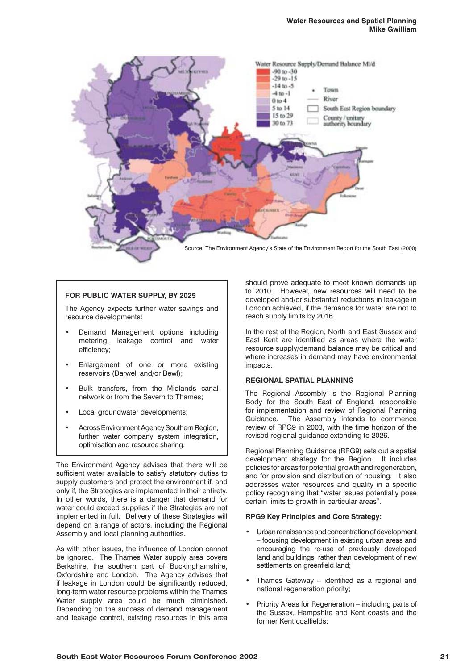

# **FOR PUBLIC WATER SUPPLY, BY 2025**

The Agency expects further water savings and resource developments:

- Demand Management options including metering, leakage control and water efficiency;
- Enlargement of one or more existing reservoirs (Darwell and/or Bewl);
- Bulk transfers, from the Midlands canal network or from the Severn to Thames;
- Local groundwater developments;
- Across Environment Agency Southern Region, further water company system integration, optimisation and resource sharing.

The Environment Agency advises that there will be sufficient water available to satisfy statutory duties to supply customers and protect the environment if, and only if, the Strategies are implemented in their entirety. In other words, there is a danger that demand for water could exceed supplies if the Strategies are not implemented in full. Delivery of these Strategies will depend on a range of actors, including the Regional Assembly and local planning authorities.

As with other issues, the influence of London cannot be ignored. The Thames Water supply area covers Berkshire, the southern part of Buckinghamshire, Oxfordshire and London. The Agency advises that if leakage in London could be significantly reduced, long-term water resource problems within the Thames Water supply area could be much diminished. Depending on the success of demand management and leakage control, existing resources in this area

should prove adequate to meet known demands up to 2010. However, new resources will need to be developed and/or substantial reductions in leakage in London achieved, if the demands for water are not to reach supply limits by 2016.

In the rest of the Region, North and East Sussex and East Kent are identified as areas where the water resource supply/demand balance may be critical and where increases in demand may have environmental impacts.

# **REGIONAL SPATIAL PLANNING**

The Regional Assembly is the Regional Planning Body for the South East of England, responsible for implementation and review of Regional Planning Guidance. The Assembly intends to commence review of RPG9 in 2003, with the time horizon of the revised regional guidance extending to 2026.

Regional Planning Guidance (RPG9) sets out a spatial development strategy for the Region. It includes policies for areas for potential growth and regeneration, and for provision and distribution of housing. It also addresses water resources and quality in a specific policy recognising that "water issues potentially pose certain limits to growth in particular areas".

# **RPG9 Key Principles and Core Strategy:**

- Urban renaissance and concentration of development – focusing development in existing urban areas and encouraging the re-use of previously developed land and buildings, rather than development of new settlements on greenfield land;
- Thames Gateway identified as a regional and national regeneration priority;
- Priority Areas for Regeneration including parts of the Sussex, Hampshire and Kent coasts and the former Kent coalfields;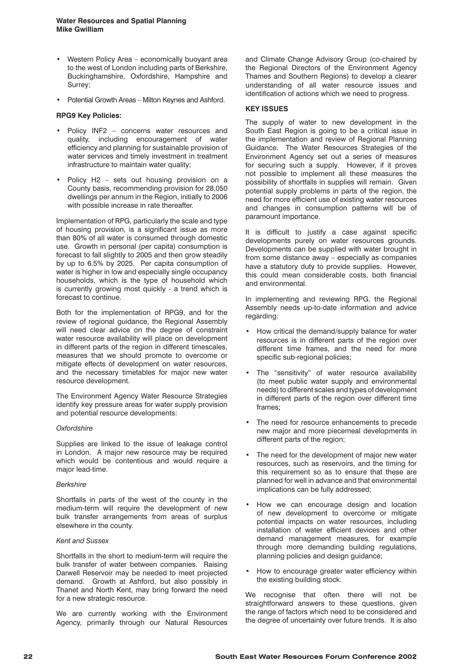- Western Policy Area economically buoyant area to the west of London including parts of Berkshire, Buckinghamshire, Oxfordshire, Hampshire and Surrey;
- Potential Growth Areas Milton Keynes and Ashford.

## **RPG9 Key Policies:**

- Policy INF2 concerns water resources and quality, including encouragement of water efficiency and planning for sustainable provision of water services and timely investment in treatment infrastructure to maintain water quality;
- Policy H2 sets out housing provision on a County basis, recommending provision for 28,050 dwellings per annum in the Region, initially to 2006 with possible increase in rate thereafter.

Implementation of RPG, particularly the scale and type of housing provision, is a significant issue as more than 80% of all water is consumed through domestic use. Growth in personal (per capita) consumption is forecast to fall slightly to 2005 and then grow steadily by up to 6.5% by 2025. Per capita consumption of water is higher in low and especially single occupancy households, which is the type of household which is currently growing most quickly - a trend which is forecast to continue.

Both for the implementation of RPG9, and for the review of regional guidance, the Regional Assembly will need clear advice on the degree of constraint water resource availability will place on development in different parts of the region in different timescales, measures that we should promote to overcome or mitigate effects of development on water resources, and the necessary timetables for major new water resource development.

The Environment Agency Water Resource Strategies identify key pressure areas for water supply provision and potential resource developments:

#### *Oxfordshire*

Supplies are linked to the issue of leakage control in London. A major new resource may be required which would be contentious and would require a major lead-time.

#### *Berkshire*

Shortfalls in parts of the west of the county in the medium-term will require the development of new bulk transfer arrangements from areas of surplus elsewhere in the county.

#### *Kent and Sussex*

Shortfalls in the short to medium-term will require the bulk transfer of water between companies. Raising Darwell Reservoir may be needed to meet projected demand. Growth at Ashford, but also possibly in Thanet and North Kent, may bring forward the need for a new strategic resource.

We are currently working with the Environment Agency, primarily through our Natural Resources

and Climate Change Advisory Group (co-chaired by the Regional Directors of the Environment Agency Thames and Southern Regions) to develop a clearer understanding of all water resource issues and identification of actions which we need to progress.

# **KEY ISSUES**

The supply of water to new development in the South East Region is going to be a critical issue in the implementation and review of Regional Planning Guidance. The Water Resources Strategies of the Environment Agency set out a series of measures for securing such a supply. However, if it proves not possible to implement all these measures the possibility of shortfalls in supplies will remain. Given potential supply problems in parts of the region, the need for more efficient use of existing water resources and changes in consumption patterns will be of paramount importance.

It is difficult to justify a case against specific developments purely on water resources grounds. Developments can be supplied with water brought in from some distance away – especially as companies have a statutory duty to provide supplies. However, this could mean considerable costs, both financial and environmental.

In implementing and reviewing RPG, the Regional Assembly needs up-to-date information and advice regarding:

- How critical the demand/supply balance for water resources is in different parts of the region over different time frames, and the need for more specific sub-regional policies;
- The "sensitivity" of water resource availability (to meet public water supply and environmental needs) to different scales and types of development in different parts of the region over different time frames;
- The need for resource enhancements to precede new major and more piecemeal developments in different parts of the region;
- The need for the development of major new water resources, such as reservoirs, and the timing for this requirement so as to ensure that these are planned for well in advance and that environmental implications can be fully addressed;
- How we can encourage design and location of new development to overcome or mitigate potential impacts on water resources, including installation of water efficient devices and other demand management measures, for example through more demanding building regulations, planning policies and design guidance;
- How to encourage greater water efficiency within the existing building stock.

We recognise that often there will not be straightforward answers to these questions, given the range of factors which need to be considered and the degree of uncertainty over future trends. It is also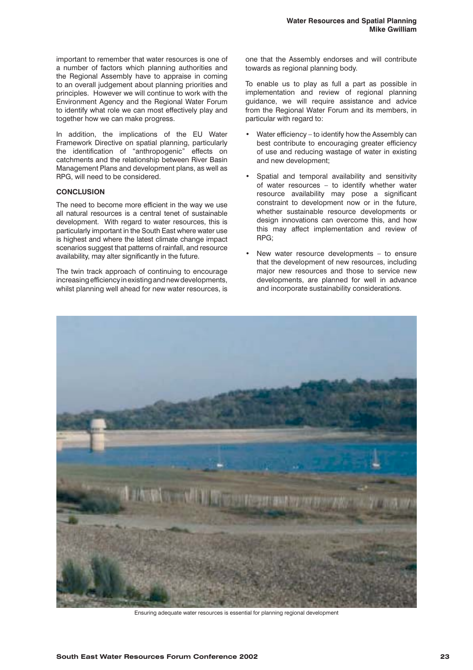important to remember that water resources is one of a number of factors which planning authorities and the Regional Assembly have to appraise in coming to an overall judgement about planning priorities and principles. However we will continue to work with the Environment Agency and the Regional Water Forum to identify what role we can most effectively play and together how we can make progress.

In addition, the implications of the EU Water Framework Directive on spatial planning, particularly the identification of "anthropogenic" effects on catchments and the relationship between River Basin Management Plans and development plans, as well as RPG, will need to be considered.

#### **CONCLUSION**

The need to become more efficient in the way we use all natural resources is a central tenet of sustainable development. With regard to water resources, this is particularly important in the South East where water use is highest and where the latest climate change impact scenarios suggest that patterns of rainfall, and resource availability, may alter significantly in the future.

The twin track approach of continuing to encourage increasing efficiency in existing and new developments, whilst planning well ahead for new water resources, is one that the Assembly endorses and will contribute towards as regional planning body.

To enable us to play as full a part as possible in implementation and review of regional planning guidance, we will require assistance and advice from the Regional Water Forum and its members, in particular with regard to:

- Water efficiency to identify how the Assembly can best contribute to encouraging greater efficiency of use and reducing wastage of water in existing and new development;
- Spatial and temporal availability and sensitivity of water resources – to identify whether water resource availability may pose a significant constraint to development now or in the future, whether sustainable resource developments or design innovations can overcome this, and how this may affect implementation and review of RPG;
- New water resource developments  $-$  to ensure that the development of new resources, including major new resources and those to service new developments, are planned for well in advance and incorporate sustainability considerations.



Ensuring adequate water resources is essential for planning regional development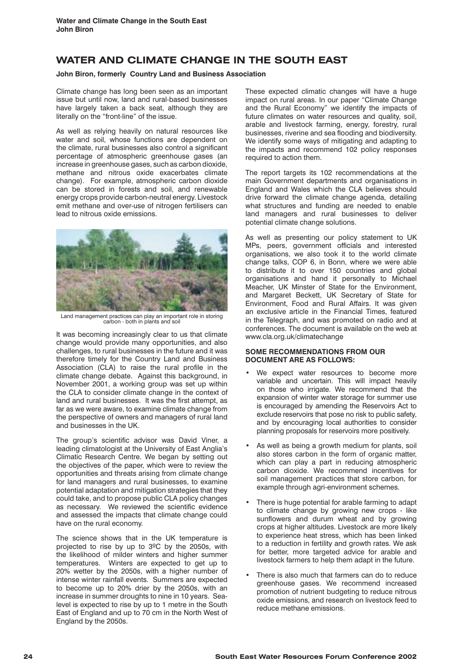# **WATER AND CLIMATE CHANGE IN THE SOUTH EAST**

# **John Biron, formerly Country Land and Business Association**

Climate change has long been seen as an important issue but until now, land and rural-based businesses have largely taken a back seat, although they are literally on the "front-line" of the issue.

As well as relying heavily on natural resources like water and soil, whose functions are dependent on the climate, rural businesses also control a significant percentage of atmospheric greenhouse gases (an increase in greenhouse gases, such as carbon dioxide, methane and nitrous oxide exacerbates climate change). For example, atmospheric carbon dioxide can be stored in forests and soil, and renewable energy crops provide carbon-neutral energy. Livestock emit methane and over-use of nitrogen fertilisers can lead to nitrous oxide emissions.



Land management practices can play an important role in storing carbon - both in plants and soil

It was becoming increasingly clear to us that climate change would provide many opportunities, and also challenges, to rural businesses in the future and it was therefore timely for the Country Land and Business Association (CLA) to raise the rural profile in the climate change debate. Against this background, in November 2001, a working group was set up within the CLA to consider climate change in the context of land and rural businesses. It was the first attempt, as far as we were aware, to examine climate change from the perspective of owners and managers of rural land and businesses in the UK.

The group's scientific advisor was David Viner, a leading climatologist at the University of East Anglia's Climatic Research Centre. We began by setting out the objectives of the paper, which were to review the opportunities and threats arising from climate change for land managers and rural businesses, to examine potential adaptation and mitigation strategies that they could take, and to propose public CLA policy changes as necessary. We reviewed the scientific evidence and assessed the impacts that climate change could have on the rural economy.

The science shows that in the UK temperature is projected to rise by up to 3ºC by the 2050s, with the likelihood of milder winters and higher summer temperatures. Winters are expected to get up to 20% wetter by the 2050s, with a higher number of intense winter rainfall events. Summers are expected to become up to 20% drier by the 2050s, with an increase in summer droughts to nine in 10 years. Sealevel is expected to rise by up to 1 metre in the South East of England and up to 70 cm in the North West of England by the 2050s.

These expected climatic changes will have a huge impact on rural areas. In our paper "Climate Change and the Rural Economy" we identify the impacts of future climates on water resources and quality, soil, arable and livestock farming, energy, forestry, rural businesses, riverine and sea flooding and biodiversity. We identify some ways of mitigating and adapting to the impacts and recommend 102 policy responses required to action them.

The report targets its 102 recommendations at the main Government departments and organisations in England and Wales which the CLA believes should drive forward the climate change agenda, detailing what structures and funding are needed to enable land managers and rural businesses to deliver potential climate change solutions.

As well as presenting our policy statement to UK MPs, peers, government officials and interested organisations, we also took it to the world climate change talks, COP 6, in Bonn, where we were able to distribute it to over 150 countries and global organisations and hand it personally to Michael Meacher, UK Minster of State for the Environment, and Margaret Beckett, UK Secretary of State for Environment, Food and Rural Affairs. It was given an exclusive article in the Financial Times, featured in the Telegraph, and was promoted on radio and at conferences. The document is available on the web at www.cla.org.uk/climatechange

#### **SOME RECOMMENDATIONS FROM OUR DOCUMENT ARE AS FOLLOWS:**

- We expect water resources to become more variable and uncertain. This will impact heavily on those who irrigate. We recommend that the expansion of winter water storage for summer use is encouraged by amending the Reservoirs Act to exclude reservoirs that pose no risk to public safety, and by encouraging local authorities to consider planning proposals for reservoirs more positively.
- As well as being a growth medium for plants, soil also stores carbon in the form of organic matter, which can play a part in reducing atmospheric carbon dioxide. We recommend incentives for soil management practices that store carbon, for example through agri-environment schemes.
- There is huge potential for arable farming to adapt to climate change by growing new crops - like sunflowers and durum wheat and by growing crops at higher altitudes. Livestock are more likely to experience heat stress, which has been linked to a reduction in fertility and growth rates. We ask for better, more targeted advice for arable and livestock farmers to help them adapt in the future.
- There is also much that farmers can do to reduce greenhouse gases. We recommend increased promotion of nutrient budgeting to reduce nitrous oxide emissions, and research on livestock feed to reduce methane emissions.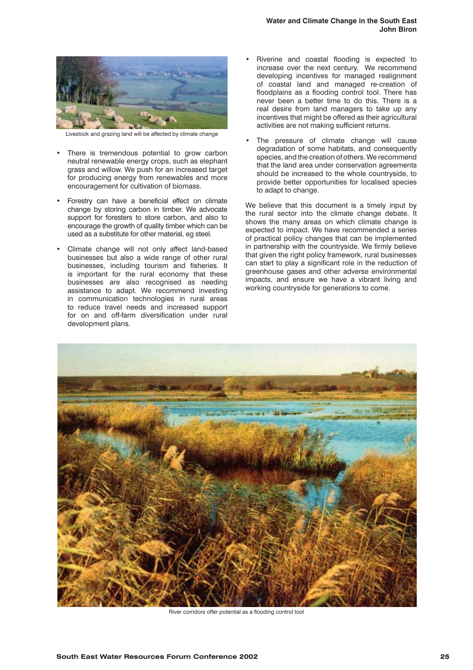

Livestock and grazing land will be affected by climate change

- There is tremendous potential to grow carbon neutral renewable energy crops, such as elephant grass and willow. We push for an increased target for producing energy from renewables and more encouragement for cultivation of biomass.
- Forestry can have a beneficial effect on climate change by storing carbon in timber. We advocate support for foresters to store carbon, and also to encourage the growth of quality timber which can be used as a substitute for other material, eg steel.
- Climate change will not only affect land-based businesses but also a wide range of other rural businesses, including tourism and fisheries. It is important for the rural economy that these businesses are also recognised as needing assistance to adapt. We recommend investing in communication technologies in rural areas to reduce travel needs and increased support for on and off-farm diversification under rural development plans.
- Riverine and coastal flooding is expected to increase over the next century. We recommend developing incentives for managed realignment of coastal land and managed re-creation of floodplains as a flooding control tool. There has never been a better time to do this. There is a real desire from land managers to take up any incentives that might be offered as their agricultural activities are not making sufficient returns.
- The pressure of climate change will cause degradation of some habitats, and consequently species, and the creation of others. We recommend that the land area under conservation agreements should be increased to the whole countryside, to provide better opportunities for localised species to adapt to change.

We believe that this document is a timely input by the rural sector into the climate change debate. It shows the many areas on which climate change is expected to impact. We have recommended a series of practical policy changes that can be implemented in partnership with the countryside. We firmly believe that given the right policy framework, rural businesses can start to play a significant role in the reduction of greenhouse gases and other adverse environmental impacts, and ensure we have a vibrant living and working countryside for generations to come.



River corridors offer potential as a flooding control tool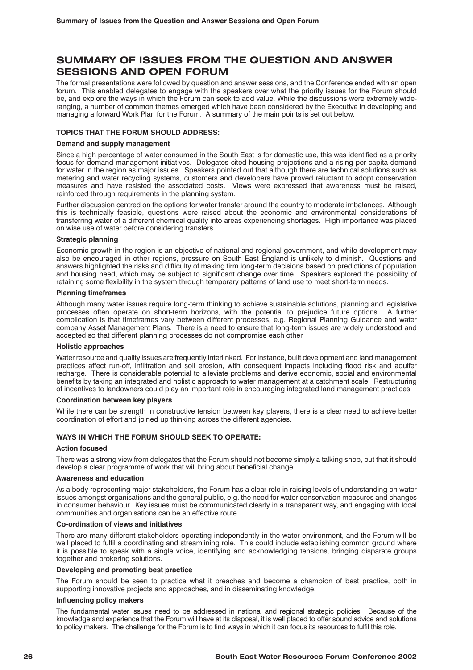# **SUMMARY OF ISSUES FROM THE QUESTION AND ANSWER SESSIONS AND OPEN FORUM**

The formal presentations were followed by question and answer sessions, and the Conference ended with an open forum. This enabled delegates to engage with the speakers over what the priority issues for the Forum should be, and explore the ways in which the Forum can seek to add value. While the discussions were extremely wideranging, a number of common themes emerged which have been considered by the Executive in developing and managing a forward Work Plan for the Forum. A summary of the main points is set out below.

# **TOPICS THAT THE FORUM SHOULD ADDRESS:**

#### **Demand and supply management**

Since a high percentage of water consumed in the South East is for domestic use, this was identified as a priority focus for demand management initiatives. Delegates cited housing projections and a rising per capita demand for water in the region as major issues. Speakers pointed out that although there are technical solutions such as metering and water recycling systems, customers and developers have proved reluctant to adopt conservation measures and have resisted the associated costs. Views were expressed that awareness must be raised, reinforced through requirements in the planning system.

Further discussion centred on the options for water transfer around the country to moderate imbalances. Although this is technically feasible, questions were raised about the economic and environmental considerations of transferring water of a different chemical quality into areas experiencing shortages. High importance was placed on wise use of water before considering transfers.

#### **Strategic planning**

Economic growth in the region is an objective of national and regional government, and while development may also be encouraged in other regions, pressure on South East England is unlikely to diminish. Questions and answers highlighted the risks and difficulty of making firm long-term decisions based on predictions of population and housing need, which may be subject to significant change over time. Speakers explored the possibility of retaining some flexibility in the system through temporary patterns of land use to meet short-term needs.

#### **Planning timeframes**

Although many water issues require long-term thinking to achieve sustainable solutions, planning and legislative processes often operate on short-term horizons, with the potential to prejudice future options. A further complication is that timeframes vary between different processes, e.g. Regional Planning Guidance and water company Asset Management Plans. There is a need to ensure that long-term issues are widely understood and accepted so that different planning processes do not compromise each other.

#### **Holistic approaches**

Water resource and quality issues are frequently interlinked. For instance, built development and land management practices affect run-off, infiltration and soil erosion, with consequent impacts including flood risk and aquifer recharge. There is considerable potential to alleviate problems and derive economic, social and environmental benefits by taking an integrated and holistic approach to water management at a catchment scale. Restructuring of incentives to landowners could play an important role in encouraging integrated land management practices.

#### **Coordination between key players**

While there can be strength in constructive tension between key players, there is a clear need to achieve better coordination of effort and joined up thinking across the different agencies.

#### **WAYS IN WHICH THE FORUM SHOULD SEEK TO OPERATE:**

#### **Action focused**

There was a strong view from delegates that the Forum should not become simply a talking shop, but that it should develop a clear programme of work that will bring about beneficial change.

#### **Awareness and education**

As a body representing major stakeholders, the Forum has a clear role in raising levels of understanding on water issues amongst organisations and the general public, e.g. the need for water conservation measures and changes in consumer behaviour. Key issues must be communicated clearly in a transparent way, and engaging with local communities and organisations can be an effective route.

#### **Co-ordination of views and initiatives**

There are many different stakeholders operating independently in the water environment, and the Forum will be well placed to fulfil a coordinating and streamlining role. This could include establishing common ground where it is possible to speak with a single voice, identifying and acknowledging tensions, bringing disparate groups together and brokering solutions.

#### **Developing and promoting best practice**

The Forum should be seen to practice what it preaches and become a champion of best practice, both in supporting innovative projects and approaches, and in disseminating knowledge.

#### **Influencing policy makers**

The fundamental water issues need to be addressed in national and regional strategic policies. Because of the knowledge and experience that the Forum will have at its disposal, it is well placed to offer sound advice and solutions to policy makers. The challenge for the Forum is to find ways in which it can focus its resources to fulfil this role.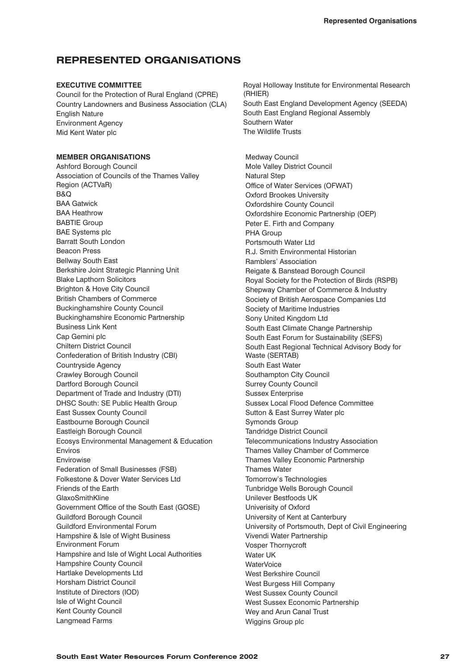# **REPRESENTED ORGANISATIONS**

## **EXECUTIVE COMMITTEE**

Council for the Protection of Rural England (CPRE) Country Landowners and Business Association (CLA) English Nature Environment Agency Mid Kent Water plc

# **MEMBER ORGANISATIONS**

Ashford Borough Council Association of Councils of the Thames Valley Region (ACTVaR) B&Q BAA Gatwick BAA Heathrow BABTIE Group BAE Systems plc Barratt South London Beacon Press Bellway South East Berkshire Joint Strategic Planning Unit Blake Lapthorn Solicitors Brighton & Hove City Council British Chambers of Commerce Buckinghamshire County Council Buckinghamshire Economic Partnership Business Link Kent Cap Gemini plc Chiltern District Council Confederation of British Industry (CBI) Countryside Agency Crawley Borough Council Dartford Borough Council Department of Trade and Industry (DTI) DHSC South: SE Public Health Group East Sussex County Council Eastbourne Borough Council Eastleigh Borough Council Ecosys Environmental Management & Education Enviros Envirowise Federation of Small Businesses (FSB) Folkestone & Dover Water Services Ltd Friends of the Earth GlaxoSmithKline Government Office of the South East (GOSE) Guildford Borough Council Guildford Environmental Forum Hampshire & Isle of Wight Business Environment Forum Hampshire and Isle of Wight Local Authorities Hampshire County Council Hartlake Developments Ltd Horsham District Council Institute of Directors (IOD) Isle of Wight Council Kent County Council Langmead Farms

Royal Holloway Institute for Environmental Research (RHIER) South East England Development Agency (SEEDA) South East England Regional Assembly Southern Water The Wildlife Trusts

Medway Council Mole Valley District Council Natural Step Office of Water Services (OFWAT) Oxford Brookes University Oxfordshire County Council Oxfordshire Economic Partnership (OEP) Peter E. Firth and Company PHA Group Portsmouth Water Ltd R.J. Smith Environmental Historian Ramblers' Association Reigate & Banstead Borough Council Royal Society for the Protection of Birds (RSPB) Shepway Chamber of Commerce & Industry Society of British Aerospace Companies Ltd Society of Maritime Industries Sony United Kingdom Ltd South East Climate Change Partnership South East Forum for Sustainability (SEFS) South East Regional Technical Advisory Body for Waste (SERTAB) South East Water Southampton City Council Surrey County Council Sussex Enterprise Sussex Local Flood Defence Committee Sutton & East Surrey Water plc Symonds Group Tandridge District Council Telecommunications Industry Association Thames Valley Chamber of Commerce Thames Valley Economic Partnership Thames Water Tomorrow's Technologies Tunbridge Wells Borough Council Unilever Bestfoods UK Univerisity of Oxford University of Kent at Canterbury University of Portsmouth, Dept of Civil Engineering Vivendi Water Partnership Vosper Thornycroft Water UK WaterVoice West Berkshire Council West Burgess Hill Company West Sussex County Council West Sussex Economic Partnership Wey and Arun Canal Trust Wiggins Group plc